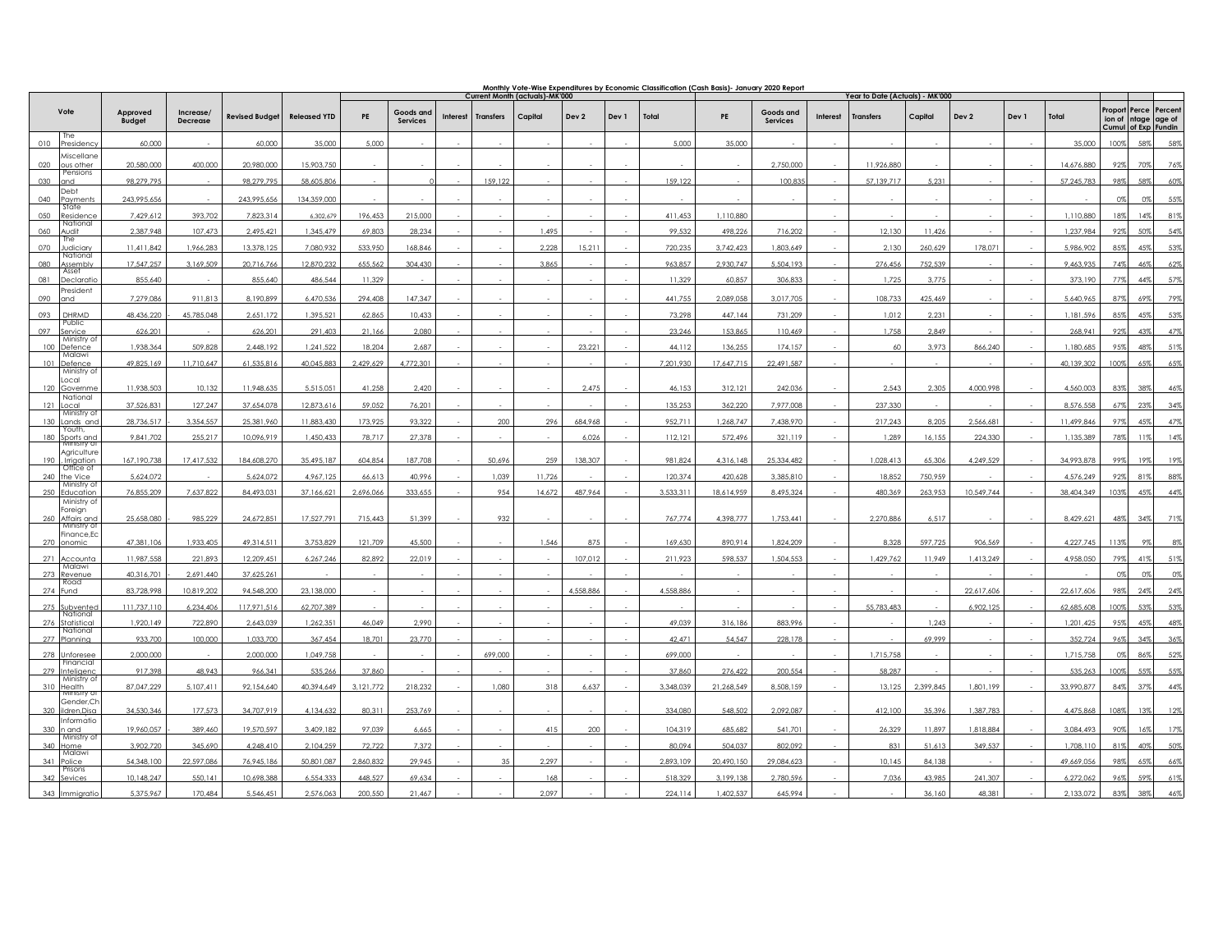|                                           |                           |                              |                       |                     | <u>Monthly Vote-Wise Expenditures by Economic Classification (Cash Basis)- January 2020 Report</u><br><b>Current Month (actuals)-MK'000</b> |                       |                 |                  |         |           |       | Year to Date (Actuals) - MK'000 |            |                       |          |                  |           |            |       |            |         |                                                             |     |
|-------------------------------------------|---------------------------|------------------------------|-----------------------|---------------------|---------------------------------------------------------------------------------------------------------------------------------------------|-----------------------|-----------------|------------------|---------|-----------|-------|---------------------------------|------------|-----------------------|----------|------------------|-----------|------------|-------|------------|---------|-------------------------------------------------------------|-----|
| Vote                                      | Approved<br><b>Budget</b> | Increase/<br><b>Decrease</b> | <b>Revised Budget</b> | <b>Released YTD</b> | PE                                                                                                                                          | Goods and<br>Services | <b>Interest</b> | <b>Transfers</b> | Capital | Dev 2     | Dev 1 | Total                           | PE         | Goods and<br>Services | Interest | <b>Transfers</b> | Capital   | Dev 2      | Dev 1 | Total      | Proport | Perce Percent<br>ion of ntage age of<br>Cumul of Exp Fundin |     |
| The<br>010<br>Presidency                  | 60,000                    |                              | 60,000                | 35,000              | 5,000                                                                                                                                       |                       |                 |                  |         |           |       | 5,000                           | 35,000     |                       |          |                  |           |            |       | 35,000     | 100%    | 58%                                                         | 58% |
| Miscellane<br>020<br>ous other            | 20.580.000                | 400.000                      | 20.980.000            | 15.903.750          |                                                                                                                                             |                       |                 |                  |         |           |       |                                 |            | 2.750.000             |          | 11,926.880       |           |            |       | 14.676.880 | 92%     | 70%                                                         | 76% |
| Pensions<br>030<br>and                    | 98.279.795                |                              | 98,279,795            | 58.605.806          |                                                                                                                                             |                       |                 | 159,122          |         |           |       | 159,122                         |            | 100,83                |          | 57,139,717       | 5.231     |            |       | 57.245.783 | 98%     | 58%                                                         | 60% |
| Debt<br>040<br>Payments                   | 243,995,656               |                              | 243,995,656           | 134,359,000         |                                                                                                                                             |                       |                 |                  |         |           |       |                                 |            |                       |          |                  |           |            |       |            | 0%      | 0%                                                          | 55% |
| State<br>050<br>Residence                 | 7,429,612                 | 393,702                      | 7,823,314             | 6,302,679           | 196,453                                                                                                                                     | 215,000               |                 |                  |         |           |       | 411,453                         | 1,110,880  |                       |          |                  |           |            |       | 1,110,880  | 18%     | 14%                                                         | 81% |
| National<br>060<br>Audit                  | 2,387,948                 | 107,473                      | 2,495,42              | 1,345,479           | 69,803                                                                                                                                      | 28,234                |                 |                  | 1,495   |           |       | 99.532                          | 498.226    | 716,202               |          | 12,130           | 11,426    |            |       | 1,237,984  | 92%     | 50%                                                         | 54% |
| 'ne<br>070<br>Judiciary                   | 11,411,842                | 1,966,283                    | 13,378,125            | 7,080,932           | 533,950                                                                                                                                     | 168.846               |                 |                  | 2,228   | 15,211    |       | 720,235                         | 3,742,423  | 1,803,649             |          | 2,130            | 260,629   | 178.071    |       | 5,986,902  | 85%     | 45%                                                         | 53% |
| National<br>Assembly                      | 17,547,257                | 3,169,509                    | 20,716,766            | 12,870,232          | 655,562                                                                                                                                     | 304,430               |                 |                  | 3,865   |           |       | 963,857                         | 2,930,747  | 5,504,193             |          | 276,456          | 752,539   |            |       | 9,463,935  | 74%     | 46%                                                         | 62% |
| Asset<br>081<br>Declarati                 | 855.640                   |                              | 855,640               | 486.544             | 11,329                                                                                                                                      |                       |                 |                  |         |           |       | 11,329                          | 60,857     | 306.833               |          | 1,725            | 3,775     |            |       | 373,190    | 77%     | 44%                                                         | 57% |
| President<br>090<br>and                   | 7,279,086                 | 911,813                      | 8,190,899             | 6,470,536           | 294,408                                                                                                                                     | 147,347               |                 |                  |         |           |       | 441,755                         | 2,089,058  | 3,017,705             |          | 108,733          | 425,469   |            |       | 5,640,965  | 87%     | 69%                                                         | 79% |
| 093<br>DHRMD                              | 48,436,220                | 45,785,048                   | 2,651,172             | 1,395,521           | 62,865                                                                                                                                      | 10,433                |                 |                  |         |           |       | 73,298                          | 447,144    | 731,209               |          | 1,012            | 2,231     |            |       | 1,181,596  | 85%     | 45%                                                         | 53% |
| Public<br>097<br>Service                  | 626,201                   |                              | 626,201               | 291.403             | 21,166                                                                                                                                      | 2.080                 |                 |                  |         |           |       | 23.246                          | 153.865    | 110.469               |          | 1.758            | 2.849     |            |       | 268.941    | 92%     | 43%                                                         | 47% |
| Ministry of<br>Defence                    | 1,938,364                 | 509.828                      | 2,448,192             | 1,241,522           | 18,204                                                                                                                                      | 2,687                 |                 |                  |         | 23,221    |       | 44,112                          | 136.255    | 174.157               |          | 60               | 3.973     | 866,240    |       | 1,180,685  | 9.5%    | 489                                                         | 51% |
| Malawi<br>101 Defence<br>Ministry of      | 49,825,169                | 11,710,647                   | 61,535,816            | 40,045,883          | 2,429,629                                                                                                                                   | 4,772,301             |                 |                  |         |           |       | 7,201,930                       | 17,647,715 | 22,491,587            |          |                  |           |            |       | 40,139,302 | 100%    | 65%                                                         | 65% |
| Local<br>120 Governme                     | 11.938.503                | 10.132                       | 11.948.635            | 5.515.051           | 41,258                                                                                                                                      | 2,420                 |                 |                  |         | 2,475     |       | 46.153                          | 312.121    | 242.036               |          | 2.543            | 2.305     | 4.000.998  |       | 4.560.003  | 83%     | 38%                                                         | 46% |
| National<br>121 Local                     | 37,526,831                | 127,247                      | 37,654,078            | 12,873,616          | 59,052                                                                                                                                      | 76,201                |                 |                  |         |           |       | 135,253                         | 362,220    | 7,977,008             |          | 237,330          |           |            |       | 8,576,558  |         |                                                             | 34% |
| Ministry o<br>130 Lands and               | 28.736.517                | 3.354.557                    | 25.381.960            | 11.883.430          | 173.925                                                                                                                                     | 93.322                |                 | 200              | 296     | 684.968   |       | 952.711                         | 1.268.747  | 7.438.970             |          | 217.243          | 8,205     | 2.566.681  |       | 11.499.846 | 97%     | 45%                                                         | 47% |
| Youth,<br>180 Sports and                  | 9,841,702                 | 255.217                      | 10,096,919            | 1,450,433           | 78,717                                                                                                                                      | 27,378                |                 |                  |         | 6,026     |       | 112,121                         | 572,496    | 321,119               |          | 1,289            | 16,155    | 224,330    |       | 1.135.389  | 78%     | 11%                                                         | 14% |
| Agriculture<br>190 , Irrigation           | 167,190,738               | 17,417,532                   | 184,608,270           | 35,495,187          | 604,854                                                                                                                                     | 187,708               |                 | 50,696           | 259     | 138,307   |       | 981,824                         | 4,316,148  | 25,334,482            |          | 1,028,413        | 65,306    | 4,249,529  |       | 34,993,878 | 99%     | 19%                                                         | 19% |
| Office of<br>240 the Vice                 | 5,624,072                 |                              | 5,624,072             | 4,967,125           | 66,613                                                                                                                                      | 40,996                |                 | 1,039            | 11,726  |           |       | 120.374                         | 420,628    | 3.385.810             |          | 18,852           | 750,959   |            |       | 4,576,249  | 92%     | 81%                                                         | 88% |
| Ministry of<br>250 Education              | 76,855,209                | 7,637,822                    | 84,493,031            | 37,166,621          | 2,696,066                                                                                                                                   | 333,655               |                 | 954              | 14,672  | 487,964   |       | 3,533,311                       | 18,614,959 | 8,495,324             |          | 480,369          | 263,953   | 10,549,744 |       | 38,404,349 | 103%    | 45%                                                         | 44% |
| Ministry of<br>Foreign<br>260 Affairs and | 25,658,080                | 985,229                      | 24,672,85             | 17,527,791          | 715,443                                                                                                                                     | 51,399                |                 | 932              |         |           |       | 767,774                         | 4,398,777  | 1,753,441             |          | 2,270,886        | 6,517     |            |       | 8,429,621  | 48%     | 34%                                                         | 71% |
| Ministry of<br>Finance, Ec<br>270 onomic  | 47,381,106                | 1,933,405                    | 49,314,511            | 3,753,829           | 121,709                                                                                                                                     | 45,500                |                 |                  | 1,546   | 875       |       | 169,630                         | 890,914    | 1,824,209             |          | 8,328            | 597,725   | 906,569    |       | 4,227,745  | 113%    | 9%                                                          | 8%  |
| 271 Accounta                              | 11,987,558                | 221,893                      | 12,209,451            | 6,267,246           | 82,892                                                                                                                                      | 22,019                |                 |                  |         | 107,012   |       | 211,923                         | 598.537    | 1.504.553             |          | 1,429,762        | 11.949    | 1,413,249  |       | 4,958,050  | 79%     | 41%                                                         | 51% |
| Malawi<br>273 Revenue                     | 40,316,701                | 2,691,440                    | 37,625,261            |                     |                                                                                                                                             |                       |                 |                  |         |           |       |                                 |            |                       |          |                  |           |            |       |            | 0%      | 0%                                                          | 0%  |
| Road<br>274 Fund                          | 83,728,998                | 10,819,202                   | 94,548,200            | 23.138.000          |                                                                                                                                             |                       |                 |                  |         | 4,558,886 |       | 4,558,886                       |            |                       |          |                  |           | 22.617.606 |       | 22.617.606 | 98%     | 24%                                                         | 24% |
| 275 Subvented<br>National                 | 111,737,110               | 6,234,406                    | 117,971,516           | 62,707,389          |                                                                                                                                             |                       |                 |                  |         |           |       |                                 |            |                       |          | 55,783,483       |           | 6,902,125  |       | 62,685,608 | 100%    | 53%                                                         | 53% |
| 276 Statistica<br>National                | 1,920,149                 | 722,890                      | 2.643.039             | 1.262.351           | 46,049                                                                                                                                      | 2,990                 |                 |                  |         |           |       | 49.039                          | 316.186    | 883.996               |          |                  | 1,243     |            |       | 1.201.425  | 95%     | 45%                                                         | 48% |
| 277 Planning                              | 933,700                   | 100,000                      | 1,033,700             | 367,454             | 18,701                                                                                                                                      | 23,770                |                 |                  |         |           |       | 42,471                          | 54,547     | 228,178               |          |                  | 69.999    |            |       | 352,724    | 96%     | 34%                                                         | 36% |
| 278 Unforesee<br>Financial                | 2,000,000                 |                              | 2,000,000             | 1,049,758           |                                                                                                                                             |                       |                 | 699,000          |         |           |       | 699,000                         |            |                       |          | 1,715,758        |           |            |       | 1,715,758  | $0\%$   | 86%                                                         | 52% |
| 279 Inteligenc<br>Ministry of             | 917,398                   | 48,943                       | 966,341               | 535,266             | 37,860                                                                                                                                      |                       |                 |                  |         |           |       | 37,860                          | 276,422    | 200,554               |          | 58,287           |           |            |       | 535,263    | 100%    | 55%                                                         | 55% |
| 310 Health                                | 87,047,229                | 5,107,411                    | 92,154,640            | 40,394,649          | 3,121,772                                                                                                                                   | 218,232               |                 | 1,080            | 318     | 6,637     |       | 3,348,039                       | 21,268,549 | 8,508,159             |          | 13,125           | 2,399,845 | 1,801,199  |       | 33,990,877 | 84%     | 37%                                                         | 44% |
| Gender,CI<br>320 ildren, Disa             | 34,530,346                | 177,573                      | 34,707,919            | 4,134,632           | 80,311                                                                                                                                      | 253,769               |                 |                  |         |           |       | 334,080                         | 548,502    | 2,092,087             |          | 412,100          | 35,396    | 1,387,783  |       | 4,475,868  | 108%    | 13%                                                         | 12% |
| Informatio<br>330 n and<br>Ministry of    | 19,960,057                | 389,460                      | 19,570,597            | 3,409,182           | 97,039                                                                                                                                      | 6,665                 |                 |                  | 415     | 200       |       | 104,319                         | 685,682    | 541,701               |          | 26,329           | 11,897    | 1,818,884  |       | 3,084,493  | 90%     | 16%                                                         | 17% |
| 340 Home                                  | 3,902,720                 | 345.690                      | 4,248,410             | 2,104,259           | 72,722                                                                                                                                      | 7.372                 |                 |                  |         |           |       | 80.094                          | 504.037    | 802,092               |          | 831              | 51.613    | 349,537    |       | 1,708,110  | 81%     | 40%                                                         | 50% |
| Malawi<br>341 Police<br>Prisons           | 54.348.100                | 22.597.086                   | 76,945,186            | 50.801.087          | 2.860.832                                                                                                                                   | 29.945                |                 | 35               | 2.297   |           |       | 2.893.109                       | 20.490.150 | 29.084.623            |          | 10.145           | 84.138    |            |       | 49.669.05  | 98%     |                                                             | 669 |
| 342 Sevices                               | 10,148,247                | 550,141                      | 10,698,388            | 6,554,333           | 448,527                                                                                                                                     | 69,634                |                 |                  | 168     |           |       | 518,329                         | 3,199,138  | 2,780,596             |          | 7,036            | 43,985    | 241,307    |       | 6,272,062  | 96%     | 59%                                                         | 61% |
| 313<br>Immigrati                          | 5.375.967                 | 170.484                      | 5.546.451             | 2.576.063           | 200.550                                                                                                                                     | 21.467                |                 |                  | 2.097   |           |       | 224, 114                        | 402.537    | 645.994               |          |                  | 34.140    | 48.381     |       | 2.133.073  |         |                                                             |     |